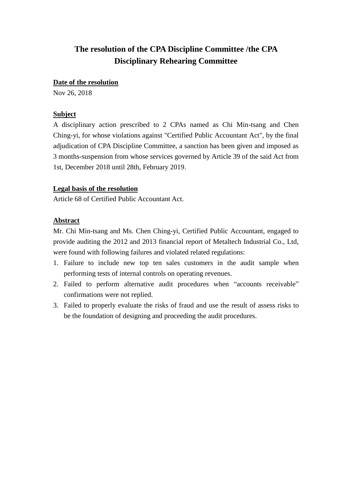## **The resolution of the CPA Discipline Committee /the CPA Disciplinary Rehearing Committee**

#### **Date of the resolution**

Nov 26, 2018

#### **Subject**

A disciplinary action prescribed to 2 CPAs named as Chi Min-tsang and Chen Ching-yi, for whose violations against "Certified Public Accountant Act", by the final adjudication of CPA Discipline Committee, a sanction has been given and imposed as 3 months-suspension from whose services governed by Article 39 of the said Act from 1st, December 2018 until 28th, February 2019.

#### **Legal basis of the resolution**

Article 68 of Certified Public Accountant Act.

#### **Abstract**

Mr. Chi Min-tsang and Ms. Chen Ching-yi, Certified Public Accountant, engaged to provide auditing the 2012 and 2013 financial report of Metaltech Industrial Co., Ltd, were found with following failures and violated related regulations:

- 1. Failure to include new top ten sales customers in the audit sample when performing tests of internal controls on operating revenues.
- 2. Failed to perform alternative audit procedures when "accounts receivable" confirmations were not replied.
- 3. Failed to properly evaluate the risks of fraud and use the result of assess risks to be the foundation of designing and proceeding the audit procedures.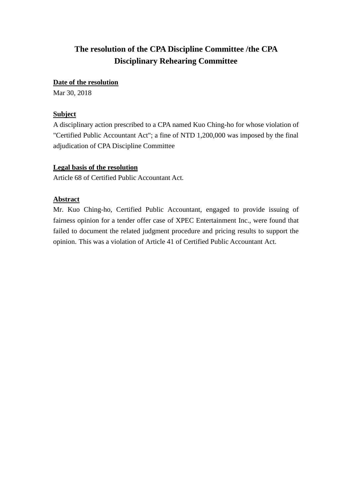# **The resolution of the CPA Discipline Committee /the CPA Disciplinary Rehearing Committee**

### **Date of the resolution**

Mar 30, 2018

## **Subject**

A disciplinary action prescribed to a CPA named Kuo Ching-ho for whose violation of "Certified Public Accountant Act"; a fine of NTD 1,200,000 was imposed by the final adjudication of CPA Discipline Committee

### **Legal basis of the resolution**

Article 68 of Certified Public Accountant Act.

### **Abstract**

Mr. Kuo Ching-ho, Certified Public Accountant, engaged to provide issuing of fairness opinion for a tender offer case of XPEC Entertainment Inc., were found that failed to document the related judgment procedure and pricing results to support the opinion. This was a violation of Article 41 of Certified Public Accountant Act.